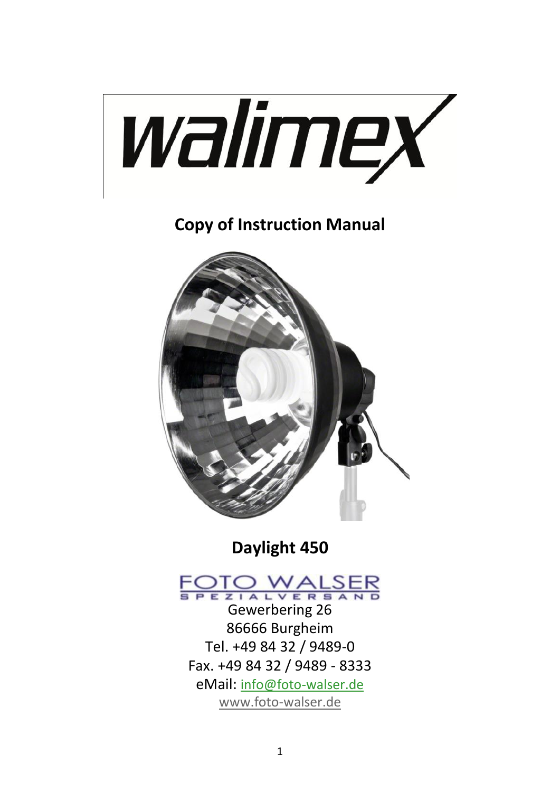

**Copy of Instruction Manual**



**Daylight 450**

# FOTO WALSER

Gewerbering 26 86666 Burgheim Tel. +49 84 32 / 9489-0 Fax. +49 84 32 / 9489 - 8333 eMail: [info@foto-walser.de](mailto:info@foto-walser.de) [www.foto-walser.de](http://www.foto-walser.de/)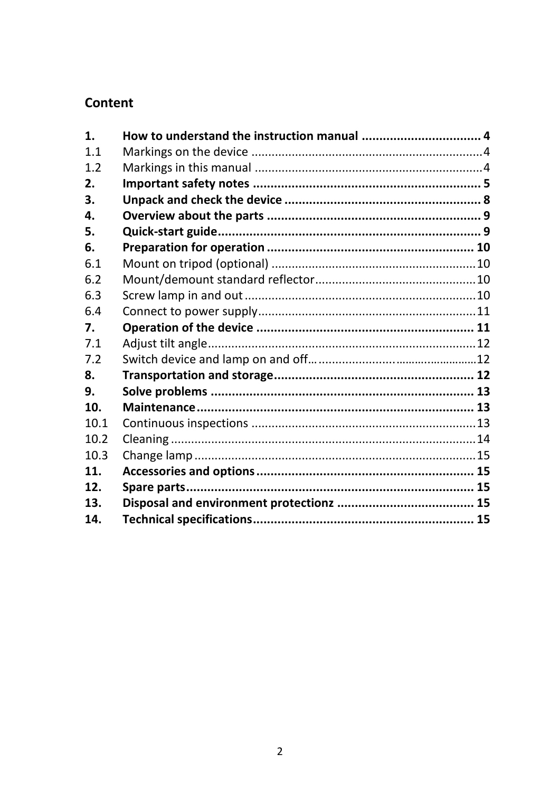#### Content

| 1.   |  |
|------|--|
| 11   |  |
| 1.2  |  |
| 2.   |  |
| 3.   |  |
| 4.   |  |
| 5.   |  |
| 6.   |  |
| 6.1  |  |
| 6.2  |  |
| 6.3  |  |
| 6.4  |  |
| 7.   |  |
| 7.1  |  |
| 7.2  |  |
| 8.   |  |
| 9.   |  |
| 10.  |  |
| 10.1 |  |
| 10.2 |  |
| 10.3 |  |
| 11.  |  |
| 12.  |  |
| 13.  |  |
| 14.  |  |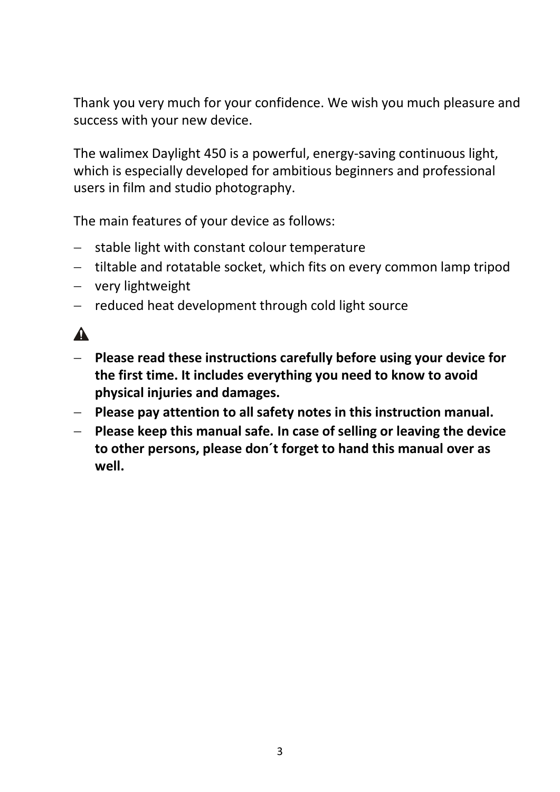Thank you very much for your confidence. We wish you much pleasure and success with your new device.

The walimex Daylight 450 is a powerful, energy-saving continuous light, which is especially developed for ambitious beginners and professional users in film and studio photography.

The main features of your device as follows:

- stable light with constant colour temperature
- tiltable and rotatable socket, which fits on every common lamp tripod
- very lightweight
- reduced heat development through cold light source

# $\mathbf{A}$

- **Please read these instructions carefully before using your device for the first time. It includes everything you need to know to avoid physical injuries and damages.**
- **Please pay attention to all safety notes in this instruction manual.**
- **Please keep this manual safe. In case of selling or leaving the device to other persons, please don´t forget to hand this manual over as well.**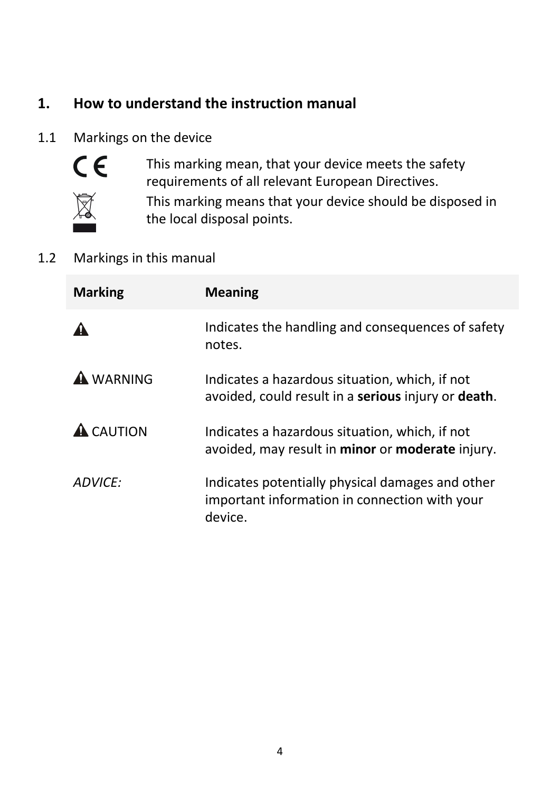# **1. How to understand the instruction manual**

#### 1.1 Markings on the device



This marking mean, that your device meets the safety requirements of all relevant European Directives.



This marking means that your device should be disposed in the local disposal points.

#### 1.2 Markings in this manual

| <b>Marking</b>   | <b>Meaning</b>                                                                                               |
|------------------|--------------------------------------------------------------------------------------------------------------|
|                  | Indicates the handling and consequences of safety<br>notes.                                                  |
| <b>A</b> WARNING | Indicates a hazardous situation, which, if not<br>avoided, could result in a serious injury or death.        |
| <b>A</b> CAUTION | Indicates a hazardous situation, which, if not<br>avoided, may result in minor or moderate injury.           |
| ADVICF:          | Indicates potentially physical damages and other<br>important information in connection with your<br>device. |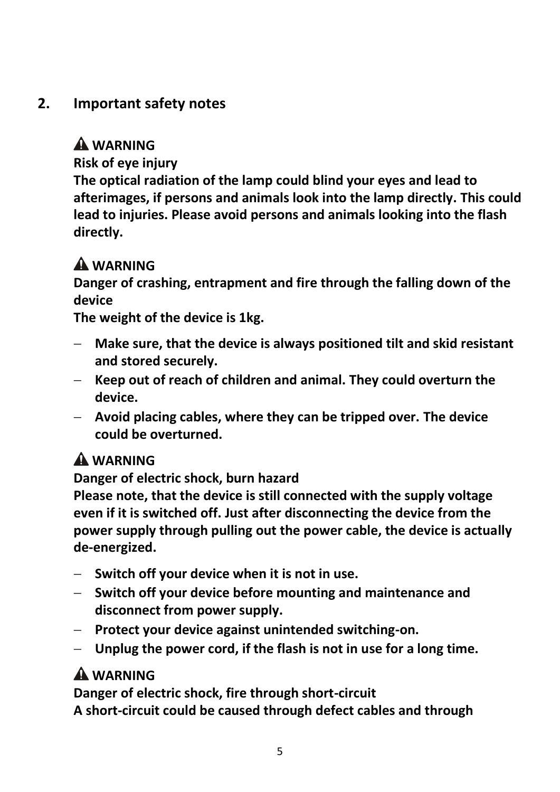# **2. Important safety notes**

## **WARNING**

**Risk of eye injury**

**The optical radiation of the lamp could blind your eyes and lead to afterimages, if persons and animals look into the lamp directly. This could lead to injuries. Please avoid persons and animals looking into the flash directly.**

# **A** WARNING

**Danger of crashing, entrapment and fire through the falling down of the device**

**The weight of the device is 1kg.**

- **Make sure, that the device is always positioned tilt and skid resistant and stored securely.**
- **Keep out of reach of children and animal. They could overturn the device.**
- **Avoid placing cables, where they can be tripped over. The device could be overturned.**

# **WARNING**

**Danger of electric shock, burn hazard**

**Please note, that the device is still connected with the supply voltage even if it is switched off. Just after disconnecting the device from the power supply through pulling out the power cable, the device is actually de-energized.**

- **Switch off your device when it is not in use.**
- **Switch off your device before mounting and maintenance and disconnect from power supply.**
- **Protect your device against unintended switching-on.**
- **Unplug the power cord, if the flash is not in use for a long time.**

# **WARNING**

**Danger of electric shock, fire through short-circuit A short-circuit could be caused through defect cables and through**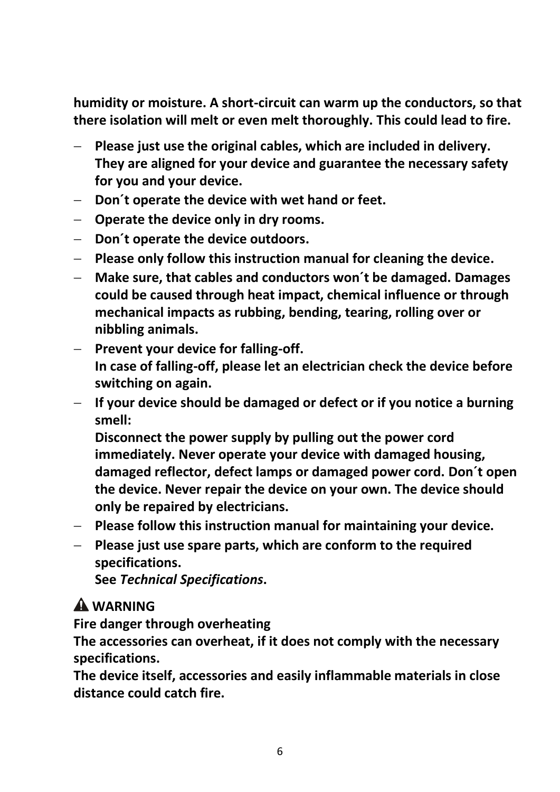**humidity or moisture. A short-circuit can warm up the conductors, so that there isolation will melt or even melt thoroughly. This could lead to fire.**

- **Please just use the original cables, which are included in delivery. They are aligned for your device and guarantee the necessary safety for you and your device.**
- **Don´t operate the device with wet hand or feet.**
- **Operate the device only in dry rooms.**
- **Don´t operate the device outdoors.**
- **Please only follow this instruction manual for cleaning the device.**
- **Make sure, that cables and conductors won´t be damaged. Damages could be caused through heat impact, chemical influence or through mechanical impacts as rubbing, bending, tearing, rolling over or nibbling animals.**
- **Prevent your device for falling-off. In case of falling-off, please let an electrician check the device before switching on again.**
- **If your device should be damaged or defect or if you notice a burning smell:**

**Disconnect the power supply by pulling out the power cord immediately. Never operate your device with damaged housing, damaged reflector, defect lamps or damaged power cord. Don´t open the device. Never repair the device on your own. The device should only be repaired by electricians.** 

- **Please follow this instruction manual for maintaining your device.**
- **Please just use spare parts, which are conform to the required specifications.**

**See** *Technical Specifications***.**

# **WARNING**

**Fire danger through overheating**

**The accessories can overheat, if it does not comply with the necessary specifications.** 

**The device itself, accessories and easily inflammable materials in close distance could catch fire.**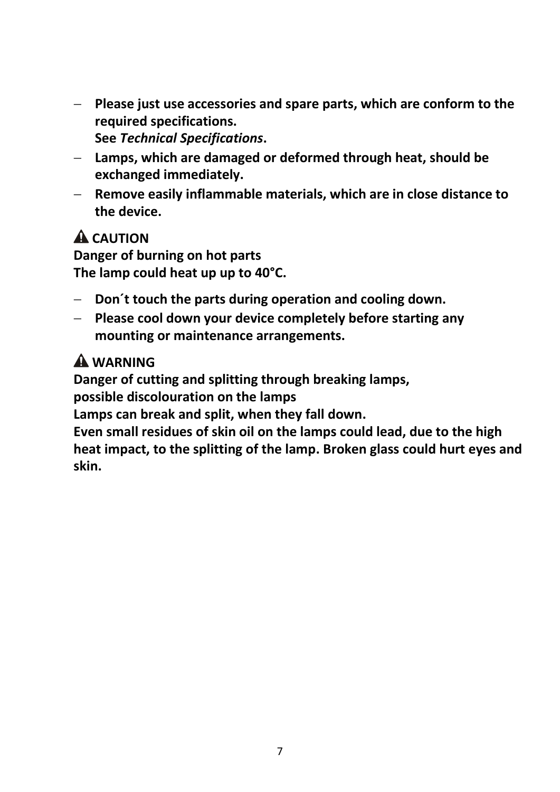- **Please just use accessories and spare parts, which are conform to the required specifications. See** *Technical Specifications***.**
- **Lamps, which are damaged or deformed through heat, should be exchanged immediately.**
- **Remove easily inflammable materials, which are in close distance to the device.**

# **A** CAUTION

**Danger of burning on hot parts The lamp could heat up up to 40°C.**

- **Don´t touch the parts during operation and cooling down.**
- **Please cool down your device completely before starting any mounting or maintenance arrangements.**

# **WARNING**

**Danger of cutting and splitting through breaking lamps,**

**possible discolouration on the lamps**

**Lamps can break and split, when they fall down.**

**Even small residues of skin oil on the lamps could lead, due to the high heat impact, to the splitting of the lamp. Broken glass could hurt eyes and skin.**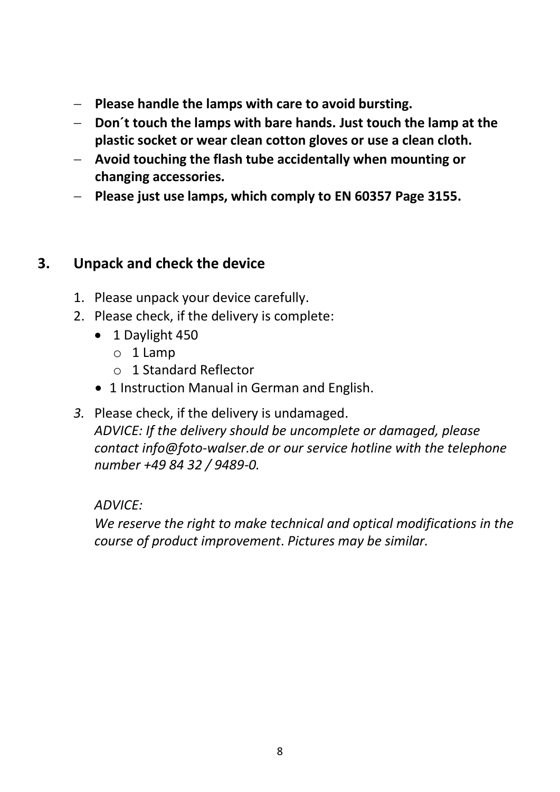- **Please handle the lamps with care to avoid bursting.**
- **Don´t touch the lamps with bare hands. Just touch the lamp at the plastic socket or wear clean cotton gloves or use a clean cloth.**
- **Avoid touching the flash tube accidentally when mounting or changing accessories.**
- **Please just use lamps, which comply to EN 60357 Page 3155.**

#### **3. Unpack and check the device**

- 1. Please unpack your device carefully.
- 2. Please check, if the delivery is complete:
	- 1 Daylight 450
		- o 1 Lamp
		- o 1 Standard Reflector
	- 1 Instruction Manual in German and English.
- *3.* Please check, if the delivery is undamaged.

*ADVICE: If the delivery should be uncomplete or damaged, please contact info@foto-walser.de or our service hotline with the telephone number +49 84 32 / 9489-0.*

#### *ADVICE:*

*We reserve the right to make technical and optical modifications in the course of product improvement*. *Pictures may be similar.*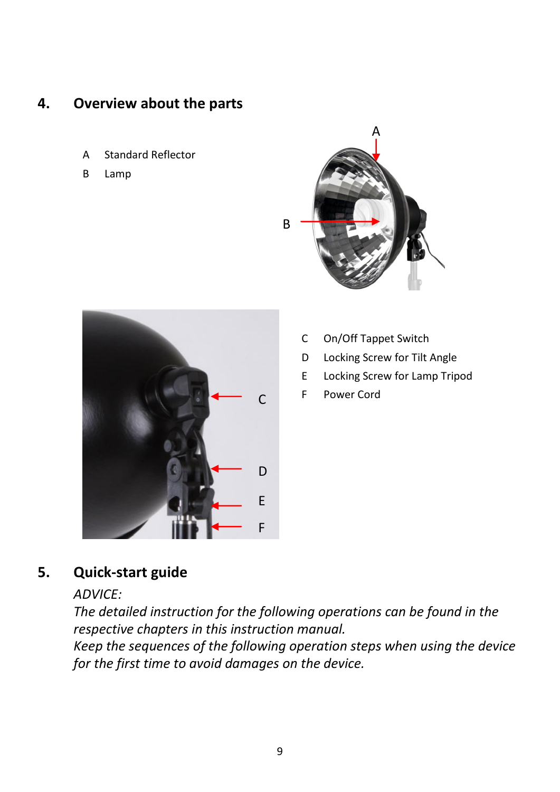#### **4. Overview about the parts**

- A Standard Reflector
- B Lamp





- C On/Off Tappet Switch
- D Locking Screw for Tilt Angle
- E Locking Screw for Lamp Tripod
- F Power Cord

#### **5. Quick-start guide**

#### *ADVICE:*

*The detailed instruction for the following operations can be found in the respective chapters in this instruction manual. Keep the sequences of the following operation steps when using the device* 

*for the first time to avoid damages on the device.*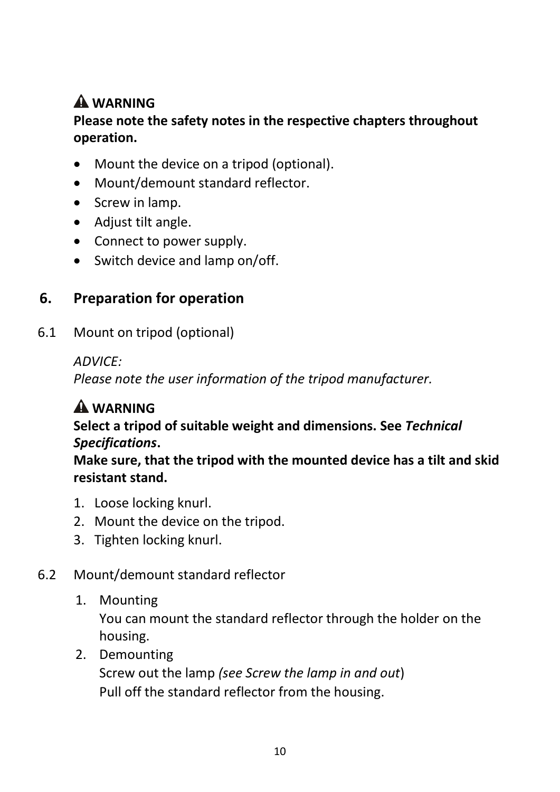# **WARNING**

#### **Please note the safety notes in the respective chapters throughout operation.**

- Mount the device on a tripod (optional).
- Mount/demount standard reflector.
- Screw in lamp.
- Adjust tilt angle.
- Connect to power supply.
- Switch device and lamp on/off.

# **6. Preparation for operation**

6.1 Mount on tripod (optional)

*ADVICE:*

*Please note the user information of the tripod manufacturer.* 

# **WARNING**

#### **Select a tripod of suitable weight and dimensions. See** *Technical Specifications***.**

**Make sure, that the tripod with the mounted device has a tilt and skid resistant stand.**

- 1. Loose locking knurl.
- 2. Mount the device on the tripod.
- 3. Tighten locking knurl.

### 6.2 Mount/demount standard reflector

1. Mounting

You can mount the standard reflector through the holder on the housing.

2. Demounting

Screw out the lamp *(see Screw the lamp in and out*) Pull off the standard reflector from the housing.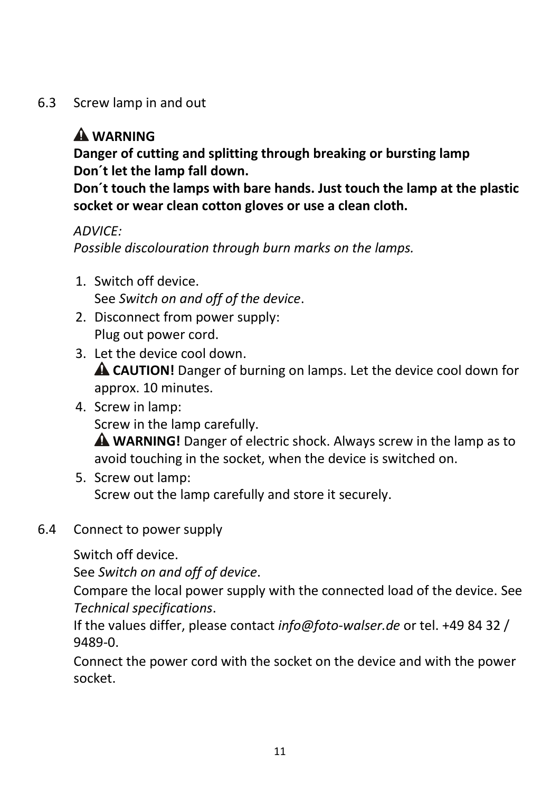6.3 Screw lamp in and out

# **WARNING**

**Danger of cutting and splitting through breaking or bursting lamp Don´t let the lamp fall down.**

**Don´t touch the lamps with bare hands. Just touch the lamp at the plastic socket or wear clean cotton gloves or use a clean cloth.**

*ADVICE:*

*Possible discolouration through burn marks on the lamps.*

- 1. Switch off device. See *Switch on and off of the device*.
- 2. Disconnect from power supply: Plug out power cord.
- 3. Let the device cool down. **CAUTION!** Danger of burning on lamps. Let the device cool down for approx. 10 minutes.
- 4. Screw in lamp: Screw in the lamp carefully. **WARNING!** Danger of electric shock. Always screw in the lamp as to avoid touching in the socket, when the device is switched on.
- 5. Screw out lamp: Screw out the lamp carefully and store it securely.
- 6.4 Connect to power supply

Switch off device.

See *Switch on and off of device*.

Compare the local power supply with the connected load of the device. See *Technical specifications*.

If the values differ, please contact *info@foto-walser.de* or tel. +49 84 32 / 9489-0.

Connect the power cord with the socket on the device and with the power socket.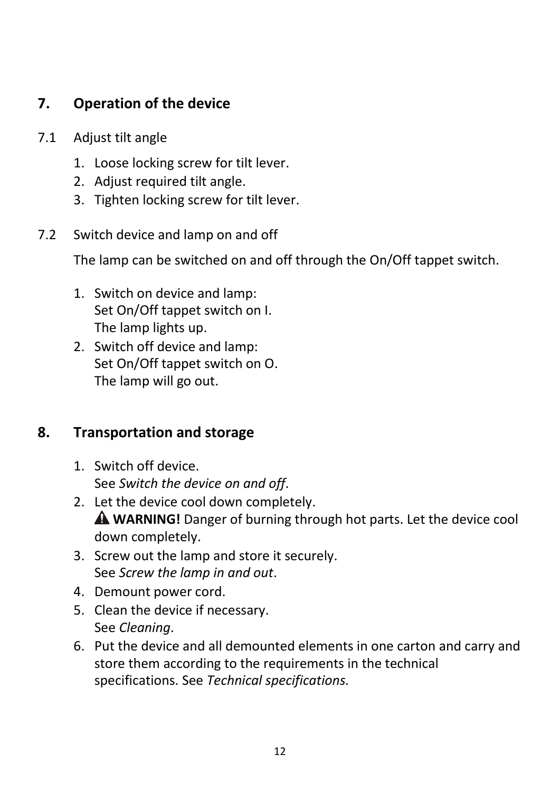## **7. Operation of the device**

- 7.1 Adjust tilt angle
	- 1. Loose locking screw for tilt lever.
	- 2. Adjust required tilt angle.
	- 3. Tighten locking screw for tilt lever.
- 7.2 Switch device and lamp on and off

The lamp can be switched on and off through the On/Off tappet switch.

- 1. Switch on device and lamp: Set On/Off tappet switch on I. The lamp lights up.
- 2. Switch off device and lamp: Set On/Off tappet switch on O. The lamp will go out.

### **8. Transportation and storage**

- 1. Switch off device. See *Switch the device on and off*.
- 2. Let the device cool down completely. **WARNING!** Danger of burning through hot parts. Let the device cool down completely.
- 3. Screw out the lamp and store it securely. See *Screw the lamp in and out*.
- 4. Demount power cord.
- 5. Clean the device if necessary. See *Cleaning*.
- 6. Put the device and all demounted elements in one carton and carry and store them according to the requirements in the technical specifications. See *Technical specifications.*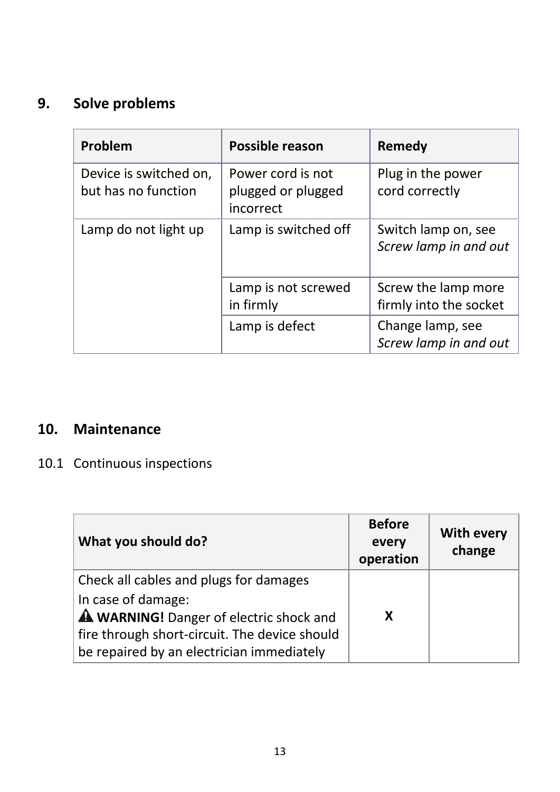# **9. Solve problems**

| Problem                                       | <b>Possible reason</b>                               | Remedy                                        |
|-----------------------------------------------|------------------------------------------------------|-----------------------------------------------|
| Device is switched on,<br>but has no function | Power cord is not<br>plugged or plugged<br>incorrect | Plug in the power<br>cord correctly           |
| Lamp do not light up                          | Lamp is switched off                                 | Switch lamp on, see<br>Screw lamp in and out  |
|                                               | Lamp is not screwed<br>in firmly                     | Screw the lamp more<br>firmly into the socket |
|                                               | Lamp is defect                                       | Change lamp, see<br>Screw lamp in and out     |

## **10. Maintenance**

# 10.1 Continuous inspections

| What you should do?                            | <b>Before</b><br>every<br>operation | <b>With every</b><br>change |
|------------------------------------------------|-------------------------------------|-----------------------------|
| Check all cables and plugs for damages         |                                     |                             |
| In case of damage:                             |                                     |                             |
| <b>A WARNING!</b> Danger of electric shock and | x                                   |                             |
| fire through short-circuit. The device should  |                                     |                             |
| be repaired by an electrician immediately      |                                     |                             |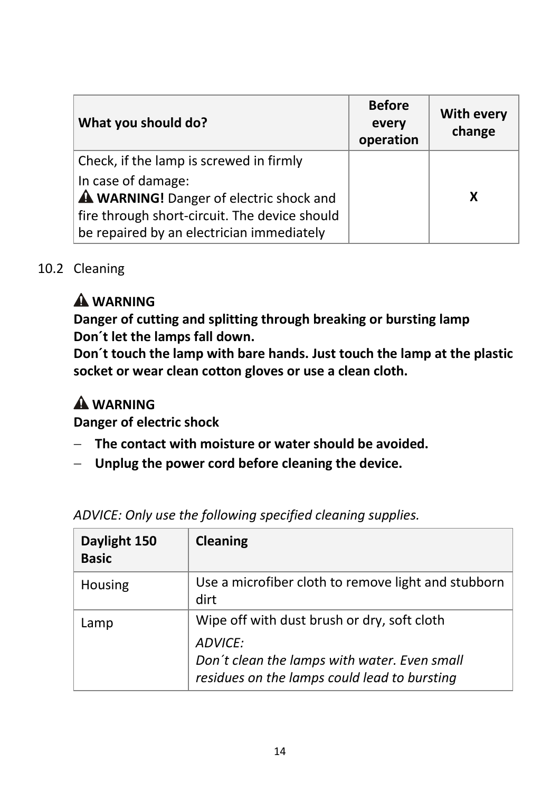| What you should do?                           | <b>Before</b><br>every<br>operation | <b>With every</b><br>change |
|-----------------------------------------------|-------------------------------------|-----------------------------|
| Check, if the lamp is screwed in firmly       |                                     |                             |
| In case of damage:                            |                                     |                             |
| A WARNING! Danger of electric shock and       |                                     | x                           |
| fire through short-circuit. The device should |                                     |                             |
| be repaired by an electrician immediately     |                                     |                             |

#### 10.2 Cleaning

# **WARNING**

**Danger of cutting and splitting through breaking or bursting lamp Don´t let the lamps fall down.**

**Don´t touch the lamp with bare hands. Just touch the lamp at the plastic socket or wear clean cotton gloves or use a clean cloth.**

# **A** WARNING

**Danger of electric shock**

- **The contact with moisture or water should be avoided.**
- **Unplug the power cord before cleaning the device.**

| Daylight 150<br><b>Basic</b> | Cleaning                                                                                                                                               |
|------------------------------|--------------------------------------------------------------------------------------------------------------------------------------------------------|
| Housing                      | Use a microfiber cloth to remove light and stubborn<br>dirt                                                                                            |
| Lamp                         | Wipe off with dust brush or dry, soft cloth<br>ADVICE:<br>Don't clean the lamps with water. Even small<br>residues on the lamps could lead to bursting |

*ADVICE: Only use the following specified cleaning supplies.*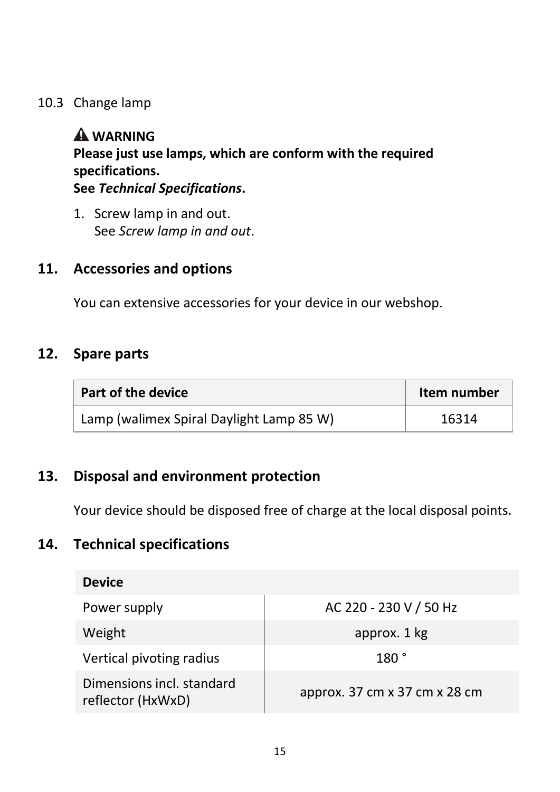#### 10.3 Change lamp

## **WARNING**

**Please just use lamps, which are conform with the required specifications.** 

**See** *Technical Specifications***.**

1. Screw lamp in and out. See *Screw lamp in and out*.

#### **11. Accessories and options**

You can extensive accessories for your device in our webshop.

#### **12. Spare parts**

| Part of the device                       | Item number |
|------------------------------------------|-------------|
| Lamp (walimex Spiral Daylight Lamp 85 W) | 16314       |

#### **13. Disposal and environment protection**

Your device should be disposed free of charge at the local disposal points.

#### **14. Technical specifications**

| <b>Device</b>                                  |                               |
|------------------------------------------------|-------------------------------|
| Power supply                                   | AC 220 - 230 V / 50 Hz        |
| Weight                                         | approx. 1 kg                  |
| Vertical pivoting radius                       | 180°                          |
| Dimensions incl. standard<br>reflector (HxWxD) | approx. 37 cm x 37 cm x 28 cm |